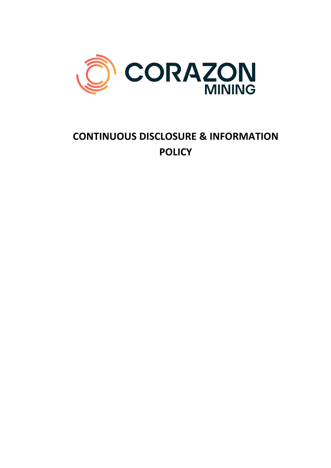

# **CONTINUOUS DISCLOSURE & INFORMATION POLICY**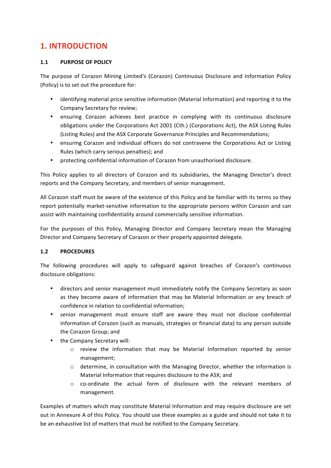# **1. INTRODUCTION**

### 1.1 **PURPOSE OF POLICY**

The purpose of Corazon Mining Limited's (Corazon) Continuous Disclosure and Information Policy (Policy) is to set out the procedure for:

- identifying material price sensitive information (Material Information) and reporting it to the Company Secretary for review;
- ensuring Corazon achieves best practice in complying with its continuous disclosure obligations under the Corporations Act 2001 (Cth.) (Corporations Act), the ASX Listing Rules (Listing Rules) and the ASX Corporate Governance Principles and Recommendations;
- ensuring Corazon and individual officers do not contravene the Corporations Act or Listing Rules (which carry serious penalties); and
- protecting confidential information of Corazon from unauthorised disclosure.

This Policy applies to all directors of Corazon and its subsidiaries, the Managing Director's direct reports and the Company Secretary, and members of senior management.

All Corazon staff must be aware of the existence of this Policy and be familiar with its terms so they report potentially market-sensitive information to the appropriate persons within Corazon and can assist with maintaining confidentiality around commercially sensitive information.

For the purposes of this Policy, Managing Director and Company Secretary mean the Managing Director and Company Secretary of Corazon or their properly appointed delegate.

### **1.2 PROCEDURES**

The following procedures will apply to safeguard against breaches of Corazon's continuous disclosure obligations:

- directors and senior management must immediately notify the Company Secretary as soon as they become aware of information that may be Material Information or any breach of confidence in relation to confidential information;
- senior management must ensure staff are aware they must not disclose confidential information of Corazon (such as manuals, strategies or financial data) to any person outside the Corazon Group; and
- the Company Secretary will:
	- $\circ$  review the information that may be Material Information reported by senior management;
	- $\circ$  determine, in consultation with the Managing Director, whether the information is Material Information that requires disclosure to the ASX; and
	- $\circ$  co-ordinate the actual form of disclosure with the relevant members of management.

Examples of matters which may constitute Material Information and may require disclosure are set out in Annexure A of this Policy. You should use these examples as a guide and should not take it to be an exhaustive list of matters that must be notified to the Company Secretary.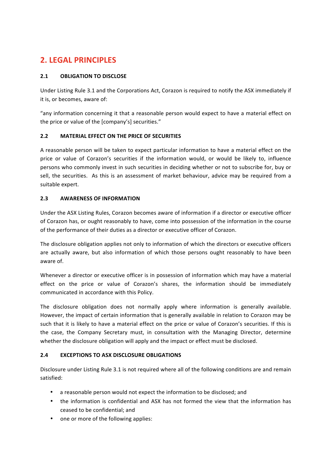# **2. LEGAL PRINCIPLES**

## **2.1 OBLIGATION TO DISCLOSE**

Under Listing Rule 3.1 and the Corporations Act, Corazon is required to notify the ASX immediately if it is, or becomes, aware of:

"any information concerning it that a reasonable person would expect to have a material effect on the price or value of the [company's] securities."

### **2.2 MATERIAL EFFECT ON THE PRICE OF SECURITIES**

A reasonable person will be taken to expect particular information to have a material effect on the price or value of Corazon's securities if the information would, or would be likely to, influence persons who commonly invest in such securities in deciding whether or not to subscribe for, buy or sell, the securities. As this is an assessment of market behaviour, advice may be required from a suitable expert.

### **2.3 AWARENESS OF INFORMATION**

Under the ASX Listing Rules, Corazon becomes aware of information if a director or executive officer of Corazon has, or ought reasonably to have, come into possession of the information in the course of the performance of their duties as a director or executive officer of Corazon.

The disclosure obligation applies not only to information of which the directors or executive officers are actually aware, but also information of which those persons ought reasonably to have been aware of.

Whenever a director or executive officer is in possession of information which may have a material effect on the price or value of Corazon's shares, the information should be immediately communicated in accordance with this Policy.

The disclosure obligation does not normally apply where information is generally available. However, the impact of certain information that is generally available in relation to Corazon may be such that it is likely to have a material effect on the price or value of Corazon's securities. If this is the case, the Company Secretary must, in consultation with the Managing Director, determine whether the disclosure obligation will apply and the impact or effect must be disclosed.

### **2.4 EXCEPTIONS TO ASX DISCLOSURE OBLIGATIONS**

Disclosure under Listing Rule 3.1 is not required where all of the following conditions are and remain satisfied:

- a reasonable person would not expect the information to be disclosed; and
- the information is confidential and ASX has not formed the view that the information has ceased to be confidential; and
- one or more of the following applies: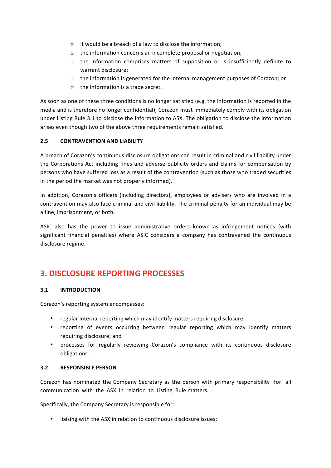- $\circ$  it would be a breach of a law to disclose the information;
- $\circ$  the information concerns an incomplete proposal or negotiation;
- $\circ$  the information comprises matters of supposition or is insufficiently definite to warrant disclosure;
- $\circ$  the information is generated for the internal management purposes of Corazon; or
- $\circ$  the information is a trade secret.

As soon as one of these three conditions is no longer satisfied (e.g. the information is reported in the media and is therefore no longer confidential), Corazon must immediately comply with its obligation under Listing Rule 3.1 to disclose the information to ASX. The obligation to disclose the information arises even though two of the above three requirements remain satisfied.

#### **2.5 CONTRAVENTION AND LIABILITY**

A breach of Corazon's continuous disclosure obligations can result in criminal and civil liability under the Corporations Act including fines and adverse publicity orders and claims for compensation by persons who have suffered loss as a result of the contravention (such as those who traded securities in the period the market was not properly informed).

In addition, Corazon's officers (including directors), employees or advisers who are involved in a contravention may also face criminal and civil liability. The criminal penalty for an individual may be a fine, imprisonment, or both.

ASIC also has the power to issue administrative orders known as infringement notices (with significant financial penalties) where ASIC considers a company has contravened the continuous disclosure regime.

# **3. DISCLOSURE REPORTING PROCESSES**

#### **3.1 INTRODUCTION**

Corazon's reporting system encompasses:

- regular internal reporting which may identify matters requiring disclosure;
- reporting of events occurring between regular reporting which may identify matters requiring disclosure; and
- processes for regularly reviewing Corazon's compliance with its continuous disclosure obligations.

#### **3.2** RESPONSIBLE PERSON

Corazon has nominated the Company Secretary as the person with primary responsibility for all communication with the ASX in relation to Listing Rule matters.

Specifically, the Company Secretary is responsible for:

• liaising with the ASX in relation to continuous disclosure issues;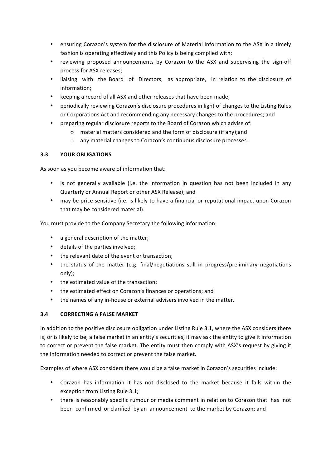- ensuring Corazon's system for the disclosure of Material Information to the ASX in a timely fashion is operating effectively and this Policy is being complied with;
- reviewing proposed announcements by Corazon to the ASX and supervising the sign-off process for ASX releases;
- liaising with the Board of Directors, as appropriate, in relation to the disclosure of information;
- keeping a record of all ASX and other releases that have been made;
- periodically reviewing Corazon's disclosure procedures in light of changes to the Listing Rules or Corporations Act and recommending any necessary changes to the procedures; and
- preparing regular disclosure reports to the Board of Corazon which advise of:
	- $\circ$  material matters considered and the form of disclosure (if any);and
	- o any material changes to Corazon's continuous disclosure processes.

### **3.3 YOUR OBLIGATIONS**

As soon as you become aware of information that:

- is not generally available (i.e. the information in question has not been included in any Quarterly or Annual Report or other ASX Release); and
- may be price sensitive (i.e. is likely to have a financial or reputational impact upon Corazon that may be considered material).

You must provide to the Company Secretary the following information:

- a general description of the matter;
- details of the parties involved;
- the relevant date of the event or transaction:
- the status of the matter (e.g. final/negotiations still in progress/preliminary negotiations only);
- the estimated value of the transaction;
- the estimated effect on Corazon's finances or operations: and
- the names of any in-house or external advisers involved in the matter.

### **3.4 CORRECTING A FALSE MARKET**

In addition to the positive disclosure obligation under Listing Rule 3.1, where the ASX considers there is, or is likely to be, a false market in an entity's securities, it may ask the entity to give it information to correct or prevent the false market. The entity must then comply with ASX's request by giving it the information needed to correct or prevent the false market.

Examples of where ASX considers there would be a false market in Corazon's securities include:

- Corazon has information it has not disclosed to the market because it falls within the exception from Listing Rule 3.1;
- there is reasonably specific rumour or media comment in relation to Corazon that has not been confirmed or clarified by an announcement to the market by Corazon; and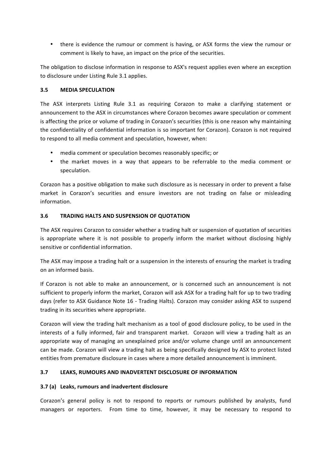• there is evidence the rumour or comment is having, or ASX forms the view the rumour or comment is likely to have, an impact on the price of the securities.

The obligation to disclose information in response to ASX's request applies even where an exception to disclosure under Listing Rule 3.1 applies.

#### **3.5 MEDIA SPECULATION**

The ASX interprets Listing Rule 3.1 as requiring Corazon to make a clarifying statement or announcement to the ASX in circumstances where Corazon becomes aware speculation or comment is affecting the price or volume of trading in Corazon's securities (this is one reason why maintaining the confidentiality of confidential information is so important for Corazon). Corazon is not required to respond to all media comment and speculation, however, when:

- media comment or speculation becomes reasonably specific; or
- the market moves in a way that appears to be referrable to the media comment or speculation.

Corazon has a positive obligation to make such disclosure as is necessary in order to prevent a false market in Corazon's securities and ensure investors are not trading on false or misleading information.

### **3.6 TRADING HALTS AND SUSPENSION OF QUOTATION**

The ASX requires Corazon to consider whether a trading halt or suspension of quotation of securities is appropriate where it is not possible to properly inform the market without disclosing highly sensitive or confidential information.

The ASX may impose a trading halt or a suspension in the interests of ensuring the market is trading on an informed basis.

If Corazon is not able to make an announcement, or is concerned such an announcement is not sufficient to properly inform the market, Corazon will ask ASX for a trading halt for up to two trading days (refer to ASX Guidance Note 16 - Trading Halts). Corazon may consider asking ASX to suspend trading in its securities where appropriate.

Corazon will view the trading halt mechanism as a tool of good disclosure policy, to be used in the interests of a fully informed, fair and transparent market. Corazon will view a trading halt as an appropriate way of managing an unexplained price and/or volume change until an announcement can be made. Corazon will view a trading halt as being specifically designed by ASX to protect listed entities from premature disclosure in cases where a more detailed announcement is imminent.

### **3.7 LEAKS, RUMOURS AND INADVERTENT DISCLOSURE OF INFORMATION**

### **3.7 (a) Leaks, rumours and inadvertent disclosure**

Corazon's general policy is not to respond to reports or rumours published by analysts, fund managers or reporters. From time to time, however, it may be necessary to respond to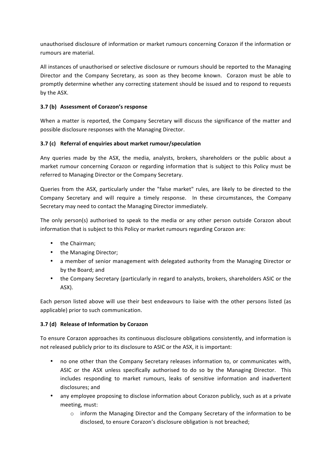unauthorised disclosure of information or market rumours concerning Corazon if the information or rumours are material.

All instances of unauthorised or selective disclosure or rumours should be reported to the Managing Director and the Company Secretary, as soon as they become known. Corazon must be able to promptly determine whether any correcting statement should be issued and to respond to requests by the ASX.

### **3.7 (b) Assessment of Corazon's response**

When a matter is reported, the Company Secretary will discuss the significance of the matter and possible disclosure responses with the Managing Director.

### **3.7** (c) Referral of enquiries about market rumour/speculation

Any queries made by the ASX, the media, analysts, brokers, shareholders or the public about a market rumour concerning Corazon or regarding information that is subject to this Policy must be referred to Managing Director or the Company Secretary.

Queries from the ASX, particularly under the "false market" rules, are likely to be directed to the Company Secretary and will require a timely response. In these circumstances, the Company Secretary may need to contact the Managing Director immediately.

The only person(s) authorised to speak to the media or any other person outside Corazon about information that is subject to this Policy or market rumours regarding Corazon are:

- the Chairman;
- the Managing Director;
- a member of senior management with delegated authority from the Managing Director or by the Board; and
- the Company Secretary (particularly in regard to analysts, brokers, shareholders ASIC or the ASX).

Each person listed above will use their best endeavours to liaise with the other persons listed (as applicable) prior to such communication.

### **3.7 (d) Release of Information by Corazon**

To ensure Corazon approaches its continuous disclosure obligations consistently, and information is not released publicly prior to its disclosure to ASIC or the ASX, it is important:

- no one other than the Company Secretary releases information to, or communicates with, ASIC or the ASX unless specifically authorised to do so by the Managing Director. This includes responding to market rumours, leaks of sensitive information and inadvertent disclosures; and
- any employee proposing to disclose information about Corazon publicly, such as at a private meeting, must:
	- $\circ$  inform the Managing Director and the Company Secretary of the information to be disclosed, to ensure Corazon's disclosure obligation is not breached;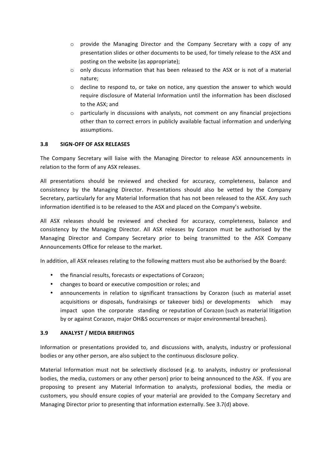- $\circ$  provide the Managing Director and the Company Secretary with a copy of any presentation slides or other documents to be used, for timely release to the ASX and posting on the website (as appropriate);
- $\circ$  only discuss information that has been released to the ASX or is not of a material nature;
- $\circ$  decline to respond to, or take on notice, any question the answer to which would require disclosure of Material Information until the information has been disclosed to the ASX; and
- $\circ$  particularly in discussions with analysts, not comment on any financial projections other than to correct errors in publicly available factual information and underlying assumptions.

### **3.8 SIGN-OFF OF ASX RELEASES**

The Company Secretary will liaise with the Managing Director to release ASX announcements in relation to the form of any ASX releases.

All presentations should be reviewed and checked for accuracy, completeness, balance and consistency by the Managing Director. Presentations should also be vetted by the Company Secretary, particularly for any Material Information that has not been released to the ASX. Any such information identified is to be released to the ASX and placed on the Company's website.

All ASX releases should be reviewed and checked for accuracy, completeness, balance and consistency by the Managing Director. All ASX releases by Corazon must be authorised by the Managing Director and Company Secretary prior to being transmitted to the ASX Company Announcements Office for release to the market.

In addition, all ASX releases relating to the following matters must also be authorised by the Board:

- the financial results, forecasts or expectations of Corazon;
- changes to board or executive composition or roles; and
- announcements in relation to significant transactions by Corazon (such as material asset acquisitions or disposals, fundraisings or takeover bids) or developments which may impact upon the corporate standing or reputation of Corazon (such as material litigation by or against Corazon, major OH&S occurrences or major environmental breaches).

#### **3.9 ANALYST / MEDIA BRIEFINGS**

Information or presentations provided to, and discussions with, analysts, industry or professional bodies or any other person, are also subject to the continuous disclosure policy.

Material Information must not be selectively disclosed (e.g. to analysts, industry or professional bodies, the media, customers or any other person) prior to being announced to the ASX. If you are proposing to present any Material Information to analysts, professional bodies, the media or customers, you should ensure copies of your material are provided to the Company Secretary and Managing Director prior to presenting that information externally. See 3.7(d) above.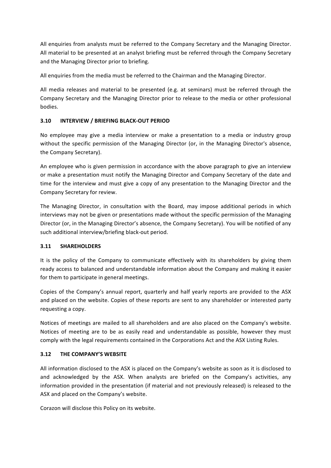All enquiries from analysts must be referred to the Company Secretary and the Managing Director. All material to be presented at an analyst briefing must be referred through the Company Secretary and the Managing Director prior to briefing.

All enquiries from the media must be referred to the Chairman and the Managing Director.

All media releases and material to be presented (e.g. at seminars) must be referred through the Company Secretary and the Managing Director prior to release to the media or other professional bodies.

#### **3.10 INTERVIEW / BRIEFING BLACK-OUT PERIOD**

No employee may give a media interview or make a presentation to a media or industry group without the specific permission of the Managing Director (or, in the Managing Director's absence, the Company Secretary).

An employee who is given permission in accordance with the above paragraph to give an interview or make a presentation must notify the Managing Director and Company Secretary of the date and time for the interview and must give a copy of any presentation to the Managing Director and the Company Secretary for review.

The Managing Director, in consultation with the Board, may impose additional periods in which interviews may not be given or presentations made without the specific permission of the Managing Director (or, in the Managing Director's absence, the Company Secretary). You will be notified of any such additional interview/briefing black-out period.

#### **3.11 SHAREHOLDERS**

It is the policy of the Company to communicate effectively with its shareholders by giving them ready access to balanced and understandable information about the Company and making it easier for them to participate in general meetings.

Copies of the Company's annual report, quarterly and half yearly reports are provided to the ASX and placed on the website. Copies of these reports are sent to any shareholder or interested party requesting a copy.

Notices of meetings are mailed to all shareholders and are also placed on the Company's website. Notices of meeting are to be as easily read and understandable as possible, however they must comply with the legal requirements contained in the Corporations Act and the ASX Listing Rules.

#### **3.12 THE COMPANY'S WEBSITE**

All information disclosed to the ASX is placed on the Company's website as soon as it is disclosed to and acknowledged by the ASX. When analysts are briefed on the Company's activities, any information provided in the presentation (if material and not previously released) is released to the ASX and placed on the Company's website.

Corazon will disclose this Policy on its website.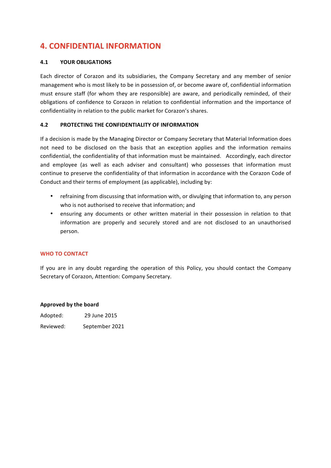# **4. CONFIDENTIAL INFORMATION**

#### **4.1 YOUR OBLIGATIONS**

Each director of Corazon and its subsidiaries, the Company Secretary and any member of senior management who is most likely to be in possession of, or become aware of, confidential information must ensure staff (for whom they are responsible) are aware, and periodically reminded, of their obligations of confidence to Corazon in relation to confidential information and the importance of confidentiality in relation to the public market for Corazon's shares.

#### **4.2 PROTECTING THE CONFIDENTIALITY OF INFORMATION**

If a decision is made by the Managing Director or Company Secretary that Material Information does not need to be disclosed on the basis that an exception applies and the information remains confidential, the confidentiality of that information must be maintained. Accordingly, each director and employee (as well as each adviser and consultant) who possesses that information must continue to preserve the confidentiality of that information in accordance with the Corazon Code of Conduct and their terms of employment (as applicable), including by:

- refraining from discussing that information with, or divulging that information to, any person who is not authorised to receive that information; and
- ensuring any documents or other written material in their possession in relation to that information are properly and securely stored and are not disclosed to an unauthorised person.

#### **WHO TO CONTACT**

If you are in any doubt regarding the operation of this Policy, you should contact the Company Secretary of Corazon, Attention: Company Secretary.

#### **Approved by the board**

| Adopted:  | 29 June 2015   |
|-----------|----------------|
| Reviewed: | September 2021 |